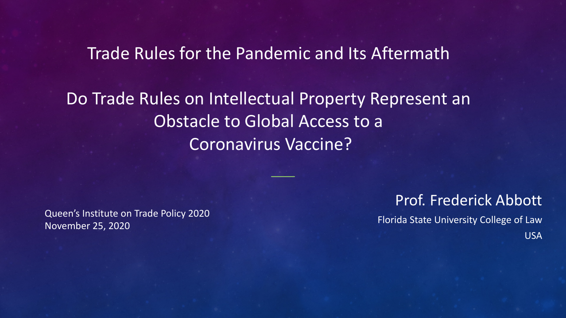Trade Rules for the Pandemic and Its Aftermath

Do Trade Rules on Intellectual Property Represent an Obstacle to Global Access to a Coronavirus Vaccine?

Queen's Institute on Trade Policy 2020 November 25, 2020

Prof. Frederick Abbott Florida State University College of Law USA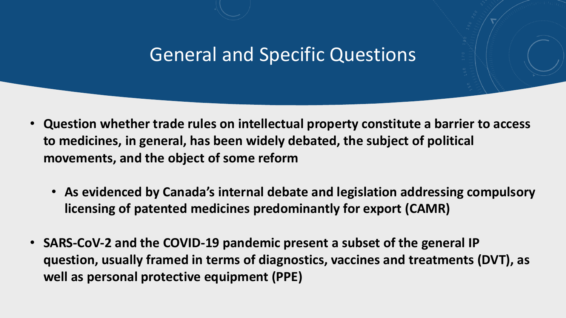### General and Specific Questions

- **Question whether trade rules on intellectual property constitute a barrier to access to medicines, in general, has been widely debated, the subject of political movements, and the object of some reform**
	- **As evidenced by Canada's internal debate and legislation addressing compulsory licensing of patented medicines predominantly for export (CAMR)**
- **SARS-CoV-2 and the COVID-19 pandemic present a subset of the general IP question, usually framed in terms of diagnostics, vaccines and treatments (DVT), as well as personal protective equipment (PPE)**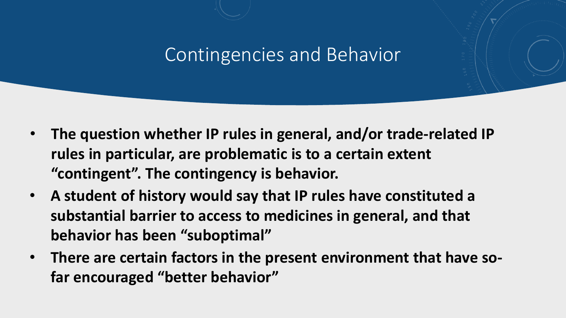### Contingencies and Behavior

- **The question whether IP rules in general, and/or trade-related IP rules in particular, are problematic is to a certain extent "contingent". The contingency is behavior.**
- **A student of history would say that IP rules have constituted a substantial barrier to access to medicines in general, and that behavior has been "suboptimal"**
- **There are certain factors in the present environment that have sofar encouraged "better behavior"**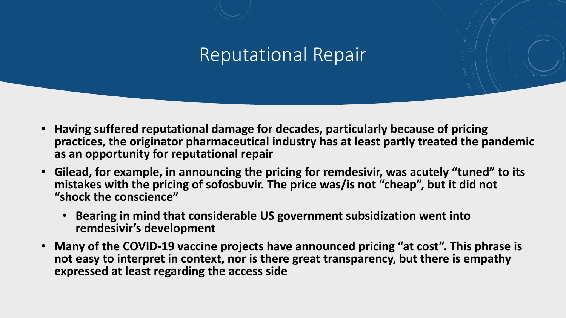#### Reputational Repair

- **Having suffered reputational damage for decades, particularly because of pricing practices, the originator pharmaceutical industry has at least partly treated the pandemic as an opportunity for reputational repair**
- **Gilead, for example, in announcing the pricing for remdesivir, was acutely "tuned" to its mistakes with the pricing of sofosbuvir. The price was/is not "cheap", but it did not "shock the conscience"**
	- **Bearing in mind that considerable US government subsidization went into remdesivir's development**
- **Many of the COVID-19 vaccine projects have announced pricing "at cost". This phrase is not easy to interpret in context, nor is there great transparency, but there is empathy expressed at least regarding the access side**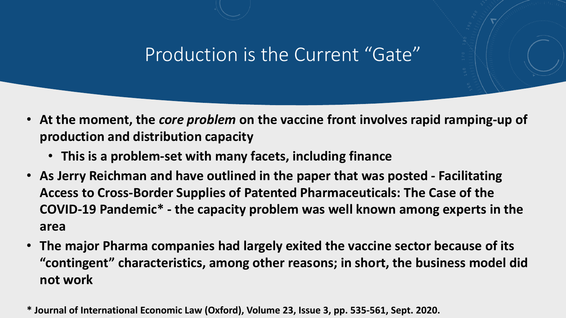## Production is the Current "Gate"

- **At the moment, the** *core problem* **on the vaccine front involves rapid ramping-up of production and distribution capacity**
	- **This is a problem-set with many facets, including finance**
- **As Jerry Reichman and have outlined in the paper that was posted - Facilitating Access to Cross-Border Supplies of Patented Pharmaceuticals: The Case of the COVID-19 Pandemic\* - the capacity problem was well known among experts in the area**
- **The major Pharma companies had largely exited the vaccine sector because of its "contingent" characteristics, among other reasons; in short, the business model did not work**
- **\* Journal of International Economic Law (Oxford), Volume 23, Issue 3, pp. 535-561, Sept. 2020.**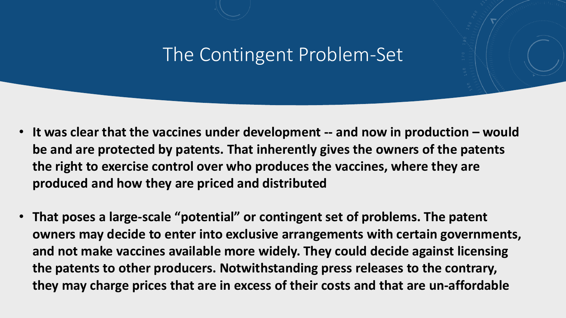### The Contingent Problem-Set

- **It was clear that the vaccines under development -- and now in production – would be and are protected by patents. That inherently gives the owners of the patents the right to exercise control over who produces the vaccines, where they are produced and how they are priced and distributed**
- **That poses a large-scale "potential" or contingent set of problems. The patent owners may decide to enter into exclusive arrangements with certain governments, and not make vaccines available more widely. They could decide against licensing the patents to other producers. Notwithstanding press releases to the contrary, they may charge prices that are in excess of their costs and that are un-affordable**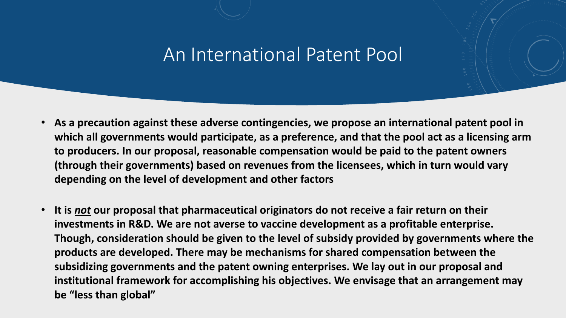#### An International Patent Pool

- **As a precaution against these adverse contingencies, we propose an international patent pool in which all governments would participate, as a preference, and that the pool act as a licensing arm to producers. In our proposal, reasonable compensation would be paid to the patent owners (through their governments) based on revenues from the licensees, which in turn would vary depending on the level of development and other factors**
- **It is** *not* **our proposal that pharmaceutical originators do not receive a fair return on their investments in R&D. We are not averse to vaccine development as a profitable enterprise. Though, consideration should be given to the level of subsidy provided by governments where the products are developed. There may be mechanisms for shared compensation between the subsidizing governments and the patent owning enterprises. We lay out in our proposal and institutional framework for accomplishing his objectives. We envisage that an arrangement may be "less than global"**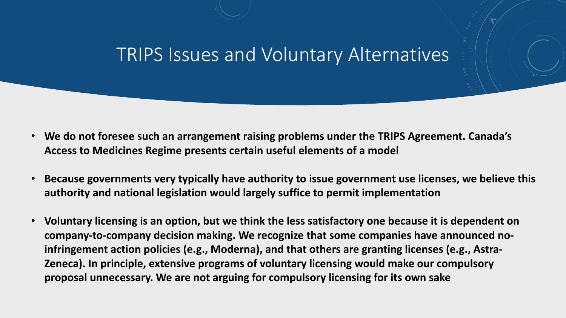#### TRIPS Issues and Voluntary Alternatives

- **We do not foresee such an arrangement raising problems under the TRIPS Agreement. Canada's Access to Medicines Regime presents certain useful elements of a model**
- **Because governments very typically have authority to issue government use licenses, we believe this authority and national legislation would largely suffice to permit implementation**
- **Voluntary licensing is an option, but we think the less satisfactory one because it is dependent on company-to-company decision making. We recognize that some companies have announced noinfringement action policies (e.g., Moderna), and that others are granting licenses (e.g., Astra-Zeneca). In principle, extensive programs of voluntary licensing would make our compulsory proposal unnecessary. We are not arguing for compulsory licensing for its own sake**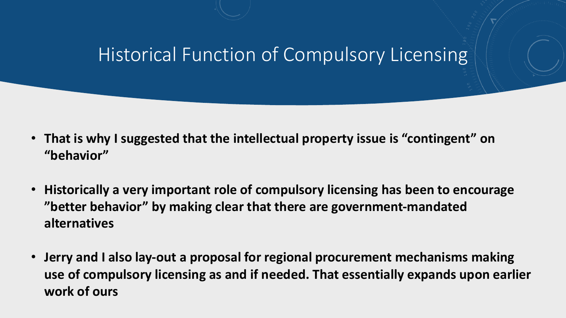### Historical Function of Compulsory Licensing

- **That is why I suggested that the intellectual property issue is "contingent" on "behavior"**
- **Historically a very important role of compulsory licensing has been to encourage "better behavior" by making clear that there are government-mandated alternatives**
- **Jerry and I also lay-out a proposal for regional procurement mechanisms making use of compulsory licensing as and if needed. That essentially expands upon earlier work of ours**